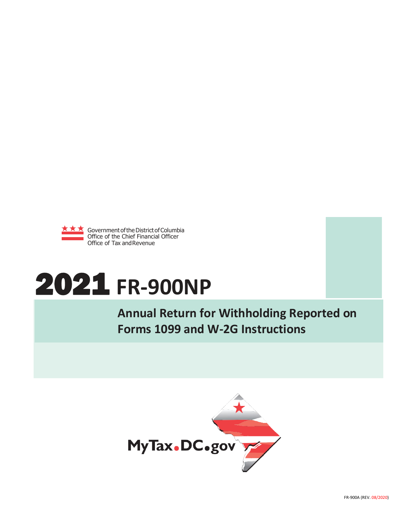

# 2021 **FR-900NP**

**Annual Return for Withholding Reported on Forms 1099 and W-2G Instructions**

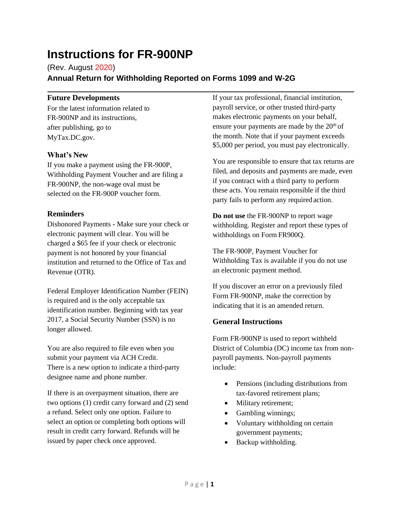# **Instructions for FR-900NP**

(Rev. August 2020) **Annual Return for Withholding Reported on Forms 1099 and W-2G**

# **Future Developments**

For the latest information related to FR-900NP and its instructions, after publishing, go to MyTax.DC.gov.

# **What's New**

If you make a payment using the FR-900P, Withholding Payment Voucher and are filing a FR-900NP, the non-wage oval must be selected on the FR-900P voucher form.

# **Reminders**

Dishonored Payments **-** Make sure your check or electronic payment will clear. You will be charged a \$65 fee if your check or electronic payment is not honored by your financial institution and returned to the Office of Tax and Revenue (OTR).

Federal Employer Identification Number (FEIN) is required and is the only acceptable tax identification number. Beginning with tax year 2017, a Social Security Number (SSN) is no longer allowed.

You are also required to file even when you submit your payment via ACH Credit. There is a new option to indicate a third-party designee name and phone number.

If there is an overpayment situation, there are two options (1) credit carry forward and (2) send a refund. Select only one option. Failure to select an option or completing both options will result in credit carry forward. Refunds will be issued by paper check once approved.

If your tax professional, financial institution, payroll service, or other trusted third-party makes electronic payments on your behalf, ensure your payments are made by the  $20<sup>th</sup>$  of the month. Note that if your payment exceeds \$5,000 per period, you must pay electronically.

You are responsible to ensure that tax returns are filed, and deposits and payments are made, even if you contract with a third party to perform these acts. You remain responsible if the third party fails to perform any required action.

**Do not use** the FR-900NP to report wage withholding. Register and report these types of withholdings on Form FR900Q.

The FR-900P, Payment Voucher for Withholding Tax is available if you do not use an electronic payment method.

If you discover an error on a previously filed Form FR-900NP, make the correction by indicating that it is an amended return.

# **General Instructions**

Form FR-900NP is used to report withheld District of Columbia (DC) income tax from nonpayroll payments. Non-payroll payments include:

- Pensions (including distributions from tax-favored retirement plans;
- Military retirement;
- Gambling winnings;
- Voluntary withholding on certain government payments;
- Backup withholding.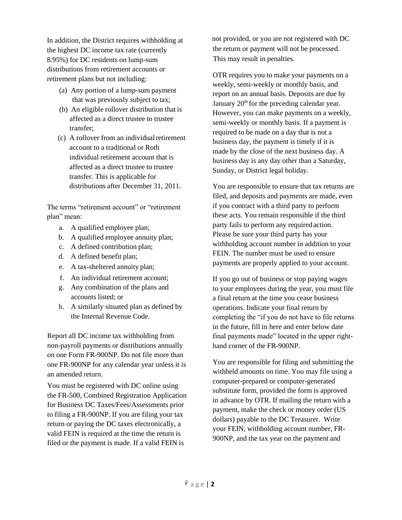In addition, the District requires withholding at the highest DC income tax rate (currently 8.95%) for DC residents on lump-sum distributions from retirement accounts or retirement plans but not including:

- (a) Any portion of a lump-sum payment that was previously subject to tax;
- (b) An eligible rollover distribution that is affected as a direct trustee to trustee transfer;
- (c) A rollover from an individual retirement account to a traditional or Roth individual retirement account that is affected as a direct trustee to trustee transfer. This is applicable for distributions after December 31, 2011.

The terms "retirement account" or "retirement plan" mean:

- a. A qualified employee plan;
- b. A qualified employee annuity plan;
- c. A defined contribution plan;
- d. A defined benefit plan;
- e. A tax-sheltered annuity plan;
- f. An individual retirement account;
- g. Any combination of the plans and accounts listed; or
- h. A similarly situated plan as defined by the Internal Revenue Code.

Report all DC income tax withholding from non-payroll payments or distributions annually on one Form FR-900NP. Do not file more than one FR-900NP for any calendar year unless it is an amended return.

You must be registered with DC online using the FR-500, Combined Registration Application for Business DC Taxes/Fees/Assessments prior to filing a FR-900NP. If you are filing your tax return or paying the DC taxes electronically, a valid FEIN is required at the time the return is filed or the payment is made. If a valid FEIN is

not provided, or you are not registered with DC the return or payment will not be processed. This may result in penalties.

OTR requires you to make your payments on a weekly, semi-weekly or monthly basis, and report on an annual basis. Deposits are due by January 20<sup>th</sup> for the preceding calendar year. However, you can make payments on a weekly, semi-weekly or monthly basis. If a payment is required to be made on a day that is not a business day, the payment is timely if it is made by the close of the next business day. A business day is any day other than a Saturday, Sunday, or District legal holiday.

You are responsible to ensure that tax returns are filed, and deposits and payments are made, even if you contract with a third party to perform these acts. You remain responsible if the third party fails to perform any required action. Please be sure your third party has your withholding account number in addition to your FEIN. The number must be used to ensure payments are properly applied to your account.

If you go out of business or stop paying wages to your employees during the year, you must file a final return at the time you cease business operations. Indicate your final return by completing the "if you do not have to file returns in the future, fill in here and enter below date final payments made" located in the upper righthand corner of the FR-900NP.

You are responsible for filing and submitting the withheld amounts on time. You may file using a computer-prepared or computer-generated substitute form, provided the form is approved in advance by OTR. If mailing the return with a payment, make the check or money order (US dollars) payable to the DC Treasurer. Write your FEIN, withholding account number, FR-900NP, and the tax year on the payment and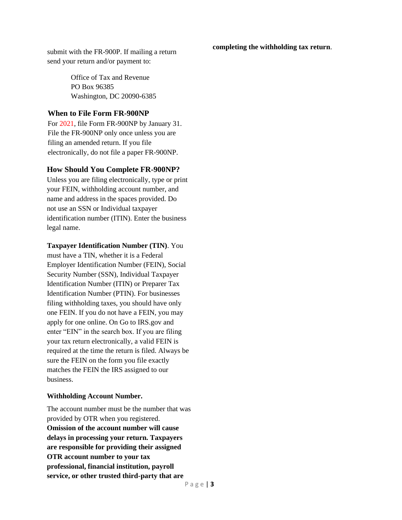**completing the withholding tax return**.

submit with the FR-900P. If mailing a return send your return and/or payment to:

> Office of Tax and Revenue PO Box 96385 Washington, DC 20090-6385

# **When to File Form FR-900NP**

For 2021, file Form FR-900NP by January 31. File the FR-900NP only once unless you are filing an amended return. If you file electronically, do not file a paper FR-900NP.

# **How Should You Complete FR-900NP?**

Unless you are filing electronically, type or print your FEIN, withholding account number, and name and address in the spaces provided. Do not use an SSN or Individual taxpayer identification number (ITIN). Enter the business legal name.

#### **Taxpayer Identification Number (TIN)**. You

must have a TIN, whether it is a Federal Employer Identification Number (FEIN), Social Security Number (SSN), Individual Taxpayer Identification Number (ITIN) or Preparer Tax Identification Number (PTIN). For businesses filing withholding taxes, you should have only one FEIN. If you do not have a FEIN, you may apply for one online. On Go to IRS.gov and enter "EIN" in the search box. If you are filing your tax return electronically, a valid FEIN is required at the time the return is filed. Always be sure the FEIN on the form you file exactly matches the FEIN the IRS assigned to our business.

#### **Withholding Account Number.**

The account number must be the number that was provided by OTR when you registered. **Omission of the account number will cause delays in processing your return. Taxpayers are responsible for providing their assigned OTR account number to your tax professional, financial institution, payroll service, or other trusted third-party that are**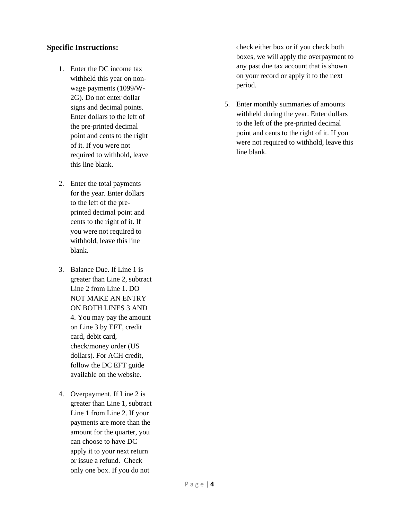# **Specific Instructions:**

- 1. Enter the DC income tax withheld this year on nonwage payments (1099/W-2G). Do not enter dollar signs and decimal points. Enter dollars to the left of the pre-printed decimal point and cents to the right of it. If you were not required to withhold, leave this line blank.
- 2. Enter the total payments for the year. Enter dollars to the left of the preprinted decimal point and cents to the right of it. If you were not required to withhold, leave this line blank.
- 3. Balance Due. If Line 1 is greater than Line 2, subtract Line 2 from Line 1. DO NOT MAKE AN ENTRY ON BOTH LINES 3 AND 4. You may pay the amount on Line 3 by EFT, credit card, debit card, check/money order (US dollars). For ACH credit, follow the DC EFT guide available on the website.
- 4. Overpayment. If Line 2 is greater than Line 1, subtract Line 1 from Line 2. If your payments are more than the amount for the quarter, you can choose to have DC apply it to your next return or issue a refund. Check only one box. If you do not

check either box or if you check both boxes, we will apply the overpayment to any past due tax account that is shown on your record or apply it to the next period.

5. Enter monthly summaries of amounts withheld during the year. Enter dollars to the left of the pre-printed decimal point and cents to the right of it. If you were not required to withhold, leave this line blank.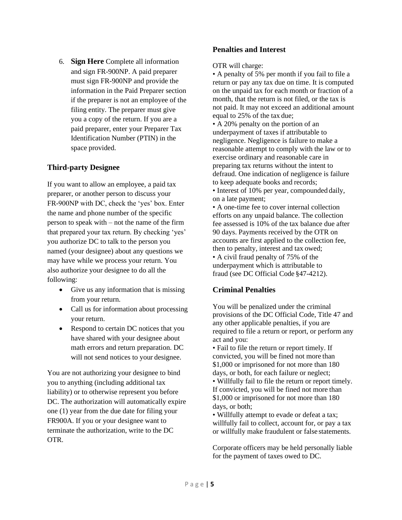6. **Sign Here** Complete all information and sign FR-900NP. A paid preparer must sign FR-900NP and provide the information in the Paid Preparer section if the preparer is not an employee of the filing entity. The preparer must give you a copy of the return. If you are a paid preparer, enter your Preparer Tax Identification Number (PTIN) in the space provided.

# **Third-party Designee**

If you want to allow an employee, a paid tax preparer, or another person to discuss your FR-900NP with DC, check the 'yes' box. Enter the name and phone number of the specific person to speak with – not the name of the firm that prepared your tax return. By checking 'yes' you authorize DC to talk to the person you named (your designee) about any questions we may have while we process your return. You also authorize your designee to do all the following:

- Give us any information that is missing from your return.
- Call us for information about processing your return.
- Respond to certain DC notices that you have shared with your designee about math errors and return preparation. DC will not send notices to your designee.

You are not authorizing your designee to bind you to anything (including additional tax liability) or to otherwise represent you before DC. The authorization will automatically expire one (1) year from the due date for filing your FR900A. If you or your designee want to terminate the authorization, write to the DC OTR.

# **Penalties and Interest**

OTR will charge:

• A penalty of 5% per month if you fail to file a return or pay any tax due on time. It is computed on the unpaid tax for each month or fraction of a month, that the return is not filed, or the tax is not paid. It may not exceed an additional amount equal to 25% of the tax due;

• A 20% penalty on the portion of an underpayment of taxes if attributable to negligence. Negligence is failure to make a reasonable attempt to comply with the law or to exercise ordinary and reasonable care in preparing tax returns without the intent to defraud. One indication of negligence is failure to keep adequate books and records;

• Interest of 10% per year, compounded daily, on a late payment;

• A one-time fee to cover internal collection efforts on any unpaid balance. The collection fee assessed is 10% of the tax balance due after 90 days. Payments received by the OTR on accounts are first applied to the collection fee, then to penalty, interest and tax owed; • A civil fraud penalty of 75% of the underpayment which is attributable to fraud (see DC Official Code §47-4212).

#### **Criminal Penalties**

You will be penalized under the criminal provisions of the DC Official Code, Title 47 and any other applicable penalties, if you are required to file a return or report, or perform any act and you:

• Fail to file the return or report timely. If convicted, you will be fined not more than \$1,000 or imprisoned for not more than 180 days, or both, for each failure or neglect;

• Willfully fail to file the return or report timely. If convicted, you will be fined not more than \$1,000 or imprisoned for not more than 180 days, or both;

• Willfully attempt to evade or defeat a tax; willfully fail to collect, account for, or pay a tax or willfully make fraudulent or false statements.

Corporate officers may be held personally liable for the payment of taxes owed to DC.